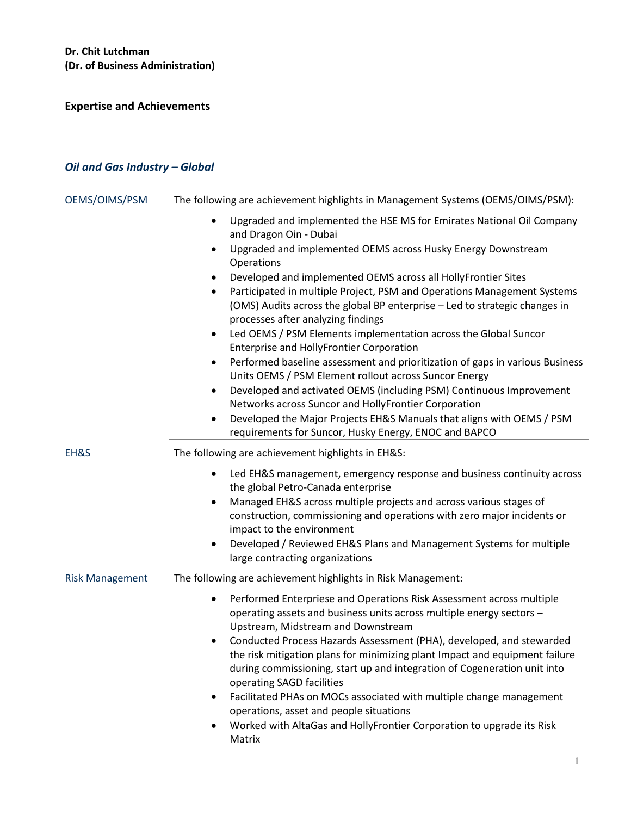# **Expertise and Achievements**

# *Oil and Gas Industry – Global*

| OEMS/OIMS/PSM          | The following are achievement highlights in Management Systems (OEMS/OIMS/PSM):                                                                                                                                                                                                                                                                                                                                                                                                                                                                                                                                                                                                                                                                                                                                                                                                                                                                                |
|------------------------|----------------------------------------------------------------------------------------------------------------------------------------------------------------------------------------------------------------------------------------------------------------------------------------------------------------------------------------------------------------------------------------------------------------------------------------------------------------------------------------------------------------------------------------------------------------------------------------------------------------------------------------------------------------------------------------------------------------------------------------------------------------------------------------------------------------------------------------------------------------------------------------------------------------------------------------------------------------|
|                        | Upgraded and implemented the HSE MS for Emirates National Oil Company<br>and Dragon Oin - Dubai<br>Upgraded and implemented OEMS across Husky Energy Downstream<br>$\bullet$<br>Operations<br>Developed and implemented OEMS across all HollyFrontier Sites<br>Participated in multiple Project, PSM and Operations Management Systems<br>(OMS) Audits across the global BP enterprise - Led to strategic changes in<br>processes after analyzing findings<br>Led OEMS / PSM Elements implementation across the Global Suncor<br>٠<br>Enterprise and HollyFrontier Corporation<br>Performed baseline assessment and prioritization of gaps in various Business<br>$\bullet$<br>Units OEMS / PSM Element rollout across Suncor Energy<br>Developed and activated OEMS (including PSM) Continuous Improvement<br>$\bullet$<br>Networks across Suncor and HollyFrontier Corporation<br>Developed the Major Projects EH&S Manuals that aligns with OEMS / PSM<br>٠ |
|                        | requirements for Suncor, Husky Energy, ENOC and BAPCO                                                                                                                                                                                                                                                                                                                                                                                                                                                                                                                                                                                                                                                                                                                                                                                                                                                                                                          |
| EH&S                   | The following are achievement highlights in EH&S:<br>Led EH&S management, emergency response and business continuity across<br>$\bullet$<br>the global Petro-Canada enterprise<br>Managed EH&S across multiple projects and across various stages of<br>٠<br>construction, commissioning and operations with zero major incidents or<br>impact to the environment<br>Developed / Reviewed EH&S Plans and Management Systems for multiple<br>٠<br>large contracting organizations                                                                                                                                                                                                                                                                                                                                                                                                                                                                               |
| <b>Risk Management</b> | The following are achievement highlights in Risk Management:<br>Performed Enterpriese and Operations Risk Assessment across multiple<br>$\bullet$<br>operating assets and business units across multiple energy sectors -<br>Upstream, Midstream and Downstream<br>Conducted Process Hazards Assessment (PHA), developed, and stewarded<br>the risk mitigation plans for minimizing plant Impact and equipment failure<br>during commissioning, start up and integration of Cogeneration unit into<br>operating SAGD facilities<br>Facilitated PHAs on MOCs associated with multiple change management<br>٠<br>operations, asset and people situations<br>Worked with AltaGas and HollyFrontier Corporation to upgrade its Risk<br>$\bullet$<br>Matrix                                                                                                                                                                                                         |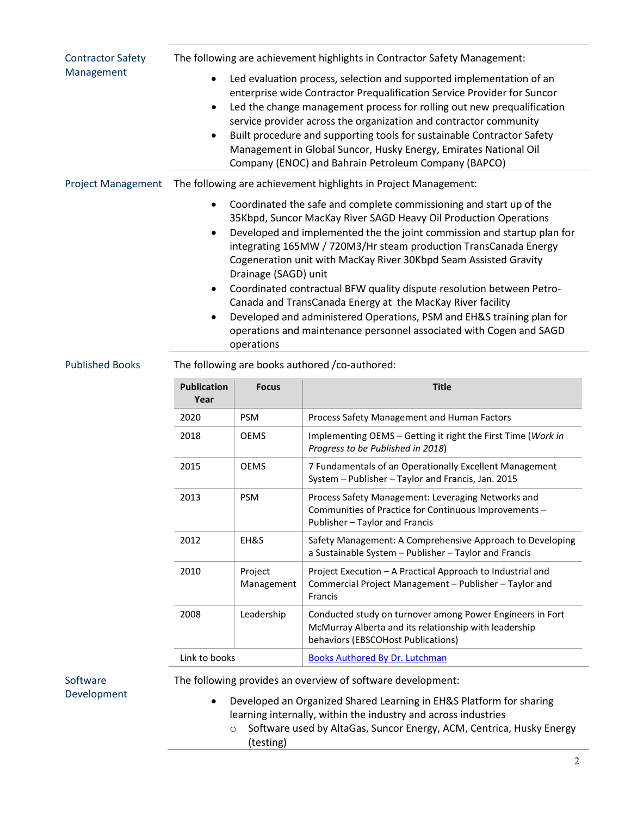| <b>Contractor Safety</b>  | The following are achievement highlights in Contractor Safety Management:                                                                                                                                                                                                                                                                                                                                                                                                                                                                                                                                                                                                                                         |                       |                                                                                                                                               |  |
|---------------------------|-------------------------------------------------------------------------------------------------------------------------------------------------------------------------------------------------------------------------------------------------------------------------------------------------------------------------------------------------------------------------------------------------------------------------------------------------------------------------------------------------------------------------------------------------------------------------------------------------------------------------------------------------------------------------------------------------------------------|-----------------------|-----------------------------------------------------------------------------------------------------------------------------------------------|--|
| Management                | Led evaluation process, selection and supported implementation of an<br>enterprise wide Contractor Prequalification Service Provider for Suncor<br>Led the change management process for rolling out new prequalification<br>$\bullet$<br>service provider across the organization and contractor community<br>Built procedure and supporting tools for sustainable Contractor Safety<br>$\bullet$<br>Management in Global Suncor, Husky Energy, Emirates National Oil<br>Company (ENOC) and Bahrain Petroleum Company (BAPCO)                                                                                                                                                                                    |                       |                                                                                                                                               |  |
| <b>Project Management</b> | The following are achievement highlights in Project Management:                                                                                                                                                                                                                                                                                                                                                                                                                                                                                                                                                                                                                                                   |                       |                                                                                                                                               |  |
|                           | Coordinated the safe and complete commissioning and start up of the<br>35Kbpd, Suncor MacKay River SAGD Heavy Oil Production Operations<br>Developed and implemented the the joint commission and startup plan for<br>$\bullet$<br>integrating 165MW / 720M3/Hr steam production TransCanada Energy<br>Cogeneration unit with MacKay River 30Kbpd Seam Assisted Gravity<br>Drainage (SAGD) unit<br>Coordinated contractual BFW quality dispute resolution between Petro-<br>$\bullet$<br>Canada and TransCanada Energy at the MacKay River facility<br>Developed and administered Operations, PSM and EH&S training plan for<br>operations and maintenance personnel associated with Cogen and SAGD<br>operations |                       |                                                                                                                                               |  |
| <b>Published Books</b>    | The following are books authored / co-authored:                                                                                                                                                                                                                                                                                                                                                                                                                                                                                                                                                                                                                                                                   |                       |                                                                                                                                               |  |
|                           | <b>Publication</b><br>Year                                                                                                                                                                                                                                                                                                                                                                                                                                                                                                                                                                                                                                                                                        | <b>Focus</b>          | <b>Title</b>                                                                                                                                  |  |
|                           | 2020                                                                                                                                                                                                                                                                                                                                                                                                                                                                                                                                                                                                                                                                                                              | <b>PSM</b>            | Process Safety Management and Human Factors                                                                                                   |  |
|                           | 2018                                                                                                                                                                                                                                                                                                                                                                                                                                                                                                                                                                                                                                                                                                              | <b>OEMS</b>           | Implementing OEMS - Getting it right the First Time (Work in<br>Progress to be Published in 2018)                                             |  |
|                           | 2015                                                                                                                                                                                                                                                                                                                                                                                                                                                                                                                                                                                                                                                                                                              | <b>OEMS</b>           | 7 Fundamentals of an Operationally Excellent Management<br>System - Publisher - Taylor and Francis, Jan. 2015                                 |  |
|                           | 2013                                                                                                                                                                                                                                                                                                                                                                                                                                                                                                                                                                                                                                                                                                              | <b>PSM</b>            | Process Safety Management: Leveraging Networks and<br>Communities of Practice for Continuous Improvements –<br>Publisher - Taylor and Francis |  |
|                           | 2012                                                                                                                                                                                                                                                                                                                                                                                                                                                                                                                                                                                                                                                                                                              | EH&S                  | Safety Management: A Comprehensive Approach to Developing<br>a Sustainable System - Publisher - Taylor and Francis                            |  |
|                           | 2010                                                                                                                                                                                                                                                                                                                                                                                                                                                                                                                                                                                                                                                                                                              | Project<br>Management | Project Execution - A Practical Approach to Industrial and<br>Commercial Project Management - Publisher - Taylor and                          |  |

Francis 2008 | Leadership | Conducted study on turnover among Power Engineers in Fort McMurray Alberta and its relationship with leadership behaviors (EBSCOHost Publications) Link to books **[Books Authored By Dr. Lutchman](https://www.safetyerudite.com/specialized_products.php)** 

**Software** Development The following provides an overview of software development:

• Developed an Organized Shared Learning in EH&S Platform for sharing learning internally, within the industry and across industries

o Software used by AltaGas, Suncor Energy, ACM, Centrica, Husky Energy (testing)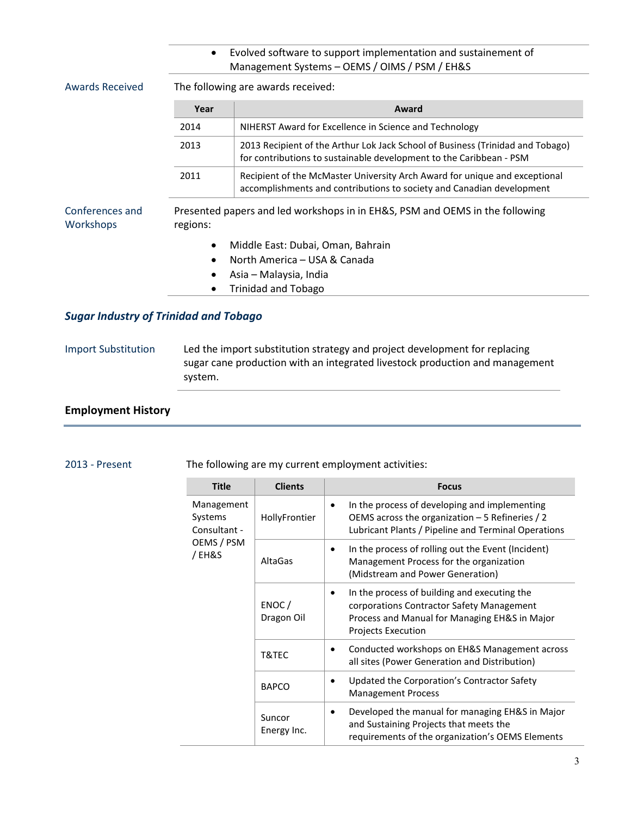|                              | Evolved software to support implementation and sustainement of<br>$\bullet$<br>Management Systems - OEMS / OIMS / PSM / EH&S |                                                                                                                                                       |  |  |  |
|------------------------------|------------------------------------------------------------------------------------------------------------------------------|-------------------------------------------------------------------------------------------------------------------------------------------------------|--|--|--|
| <b>Awards Received</b>       |                                                                                                                              | The following are awards received:                                                                                                                    |  |  |  |
|                              | Year                                                                                                                         | Award                                                                                                                                                 |  |  |  |
|                              | 2014                                                                                                                         | NIHERST Award for Excellence in Science and Technology                                                                                                |  |  |  |
|                              | 2013                                                                                                                         | 2013 Recipient of the Arthur Lok Jack School of Business (Trinidad and Tobago)<br>for contributions to sustainable development to the Caribbean - PSM |  |  |  |
|                              | 2011                                                                                                                         | Recipient of the McMaster University Arch Award for unique and exceptional<br>accomplishments and contributions to society and Canadian development   |  |  |  |
| Conferences and<br>Workshops | regions:                                                                                                                     | Presented papers and led workshops in in EH&S, PSM and OEMS in the following                                                                          |  |  |  |
|                              | $\bullet$                                                                                                                    | Middle East: Dubai, Oman, Bahrain                                                                                                                     |  |  |  |
|                              | $\bullet$                                                                                                                    | North America – USA & Canada                                                                                                                          |  |  |  |
|                              |                                                                                                                              | Asia – Malaysia, India                                                                                                                                |  |  |  |
|                              |                                                                                                                              | <b>Trinidad and Tobago</b>                                                                                                                            |  |  |  |

## *Sugar Industry of Trinidad and Tobago*

## Import Substitution Led the import substitution strategy and project development for replacing sugar cane production with an integrated livestock production and management system.

## **Employment History**

#### 2013 - Present The following are my current employment activities:

| <b>Title</b>                                                 | <b>Clients</b>        | <b>Focus</b>                                                                                                                                                            |
|--------------------------------------------------------------|-----------------------|-------------------------------------------------------------------------------------------------------------------------------------------------------------------------|
| Management<br>Systems<br>Consultant -<br>OEMS / PSM<br>/EH&S | HollyFrontier         | In the process of developing and implementing<br>OEMS across the organization $-5$ Refineries / 2<br>Lubricant Plants / Pipeline and Terminal Operations                |
|                                                              | AltaGas               | In the process of rolling out the Event (Incident)<br>Management Process for the organization<br>(Midstream and Power Generation)                                       |
|                                                              | ENOC/<br>Dragon Oil   | In the process of building and executing the<br>corporations Contractor Safety Management<br>Process and Manual for Managing EH&S in Major<br><b>Projects Execution</b> |
|                                                              | T&TEC                 | Conducted workshops on EH&S Management across<br>all sites (Power Generation and Distribution)                                                                          |
|                                                              | <b>BAPCO</b>          | Updated the Corporation's Contractor Safety<br><b>Management Process</b>                                                                                                |
|                                                              | Suncor<br>Energy Inc. | Developed the manual for managing EH&S in Major<br>and Sustaining Projects that meets the<br>requirements of the organization's OEMS Elements                           |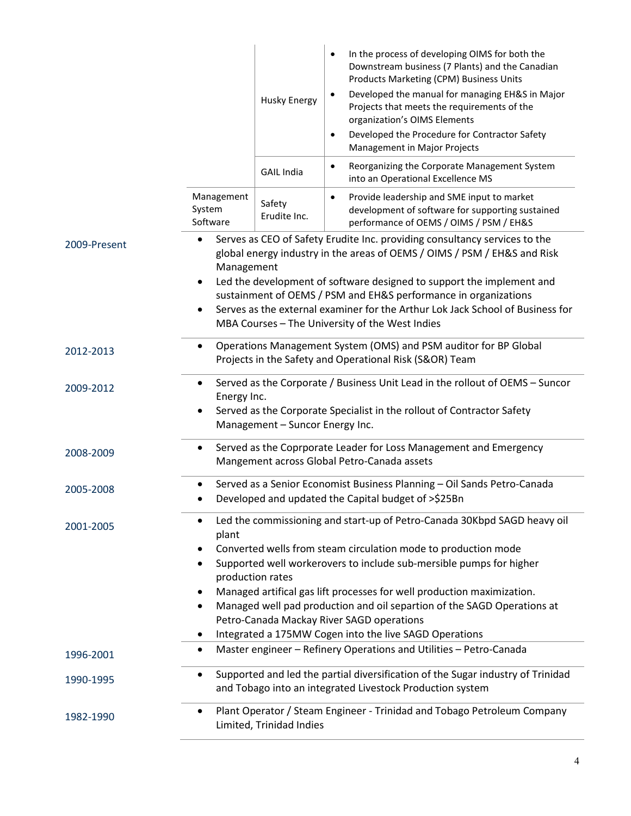|              |                                                                                                                                                                                                                                                                                                                                                                                                                                                                                                                                                     | <b>Husky Energy</b>    | In the process of developing OIMS for both the<br>$\bullet$<br>Downstream business (7 Plants) and the Canadian<br>Products Marketing (CPM) Business Units<br>Developed the manual for managing EH&S in Major<br>٠<br>Projects that meets the requirements of the<br>organization's OIMS Elements<br>Developed the Procedure for Contractor Safety<br>$\bullet$<br>Management in Major Projects |  |
|--------------|-----------------------------------------------------------------------------------------------------------------------------------------------------------------------------------------------------------------------------------------------------------------------------------------------------------------------------------------------------------------------------------------------------------------------------------------------------------------------------------------------------------------------------------------------------|------------------------|------------------------------------------------------------------------------------------------------------------------------------------------------------------------------------------------------------------------------------------------------------------------------------------------------------------------------------------------------------------------------------------------|--|
|              |                                                                                                                                                                                                                                                                                                                                                                                                                                                                                                                                                     | <b>GAIL India</b>      | Reorganizing the Corporate Management System<br>$\bullet$<br>into an Operational Excellence MS                                                                                                                                                                                                                                                                                                 |  |
|              | Management<br>System<br>Software                                                                                                                                                                                                                                                                                                                                                                                                                                                                                                                    | Safety<br>Erudite Inc. | Provide leadership and SME input to market<br>$\bullet$<br>development of software for supporting sustained<br>performance of OEMS / OIMS / PSM / EH&S                                                                                                                                                                                                                                         |  |
| 2009-Present | Serves as CEO of Safety Erudite Inc. providing consultancy services to the<br>$\bullet$<br>global energy industry in the areas of OEMS / OIMS / PSM / EH&S and Risk<br>Management<br>Led the development of software designed to support the implement and<br>٠<br>sustainment of OEMS / PSM and EH&S performance in organizations<br>Serves as the external examiner for the Arthur Lok Jack School of Business for<br>٠<br>MBA Courses - The University of the West Indies                                                                        |                        |                                                                                                                                                                                                                                                                                                                                                                                                |  |
| 2012-2013    | Operations Management System (OMS) and PSM auditor for BP Global<br>$\bullet$<br>Projects in the Safety and Operational Risk (S&OR) Team                                                                                                                                                                                                                                                                                                                                                                                                            |                        |                                                                                                                                                                                                                                                                                                                                                                                                |  |
| 2009-2012    | Served as the Corporate / Business Unit Lead in the rollout of OEMS - Suncor<br>$\bullet$<br>Energy Inc.<br>Served as the Corporate Specialist in the rollout of Contractor Safety<br>٠<br>Management - Suncor Energy Inc.                                                                                                                                                                                                                                                                                                                          |                        |                                                                                                                                                                                                                                                                                                                                                                                                |  |
| 2008-2009    | Served as the Coprporate Leader for Loss Management and Emergency<br>٠<br>Mangement across Global Petro-Canada assets                                                                                                                                                                                                                                                                                                                                                                                                                               |                        |                                                                                                                                                                                                                                                                                                                                                                                                |  |
| 2005-2008    | Served as a Senior Economist Business Planning - Oil Sands Petro-Canada<br>Developed and updated the Capital budget of >\$25Bn                                                                                                                                                                                                                                                                                                                                                                                                                      |                        |                                                                                                                                                                                                                                                                                                                                                                                                |  |
| 2001-2005    | Led the commissioning and start-up of Petro-Canada 30Kbpd SAGD heavy oil<br>٠<br>plant<br>Converted wells from steam circulation mode to production mode<br>$\bullet$<br>Supported well workerovers to include sub-mersible pumps for higher<br>٠<br>production rates<br>Managed artifical gas lift processes for well production maximization.<br>$\bullet$<br>Managed well pad production and oil separtion of the SAGD Operations at<br>٠<br>Petro-Canada Mackay River SAGD operations<br>Integrated a 175MW Cogen into the live SAGD Operations |                        |                                                                                                                                                                                                                                                                                                                                                                                                |  |
| 1996-2001    | $\bullet$                                                                                                                                                                                                                                                                                                                                                                                                                                                                                                                                           |                        | Master engineer - Refinery Operations and Utilities - Petro-Canada                                                                                                                                                                                                                                                                                                                             |  |
| 1990-1995    | ٠                                                                                                                                                                                                                                                                                                                                                                                                                                                                                                                                                   |                        | Supported and led the partial diversification of the Sugar industry of Trinidad<br>and Tobago into an integrated Livestock Production system                                                                                                                                                                                                                                                   |  |
| 1982-1990    | Plant Operator / Steam Engineer - Trinidad and Tobago Petroleum Company<br>٠<br>Limited, Trinidad Indies                                                                                                                                                                                                                                                                                                                                                                                                                                            |                        |                                                                                                                                                                                                                                                                                                                                                                                                |  |